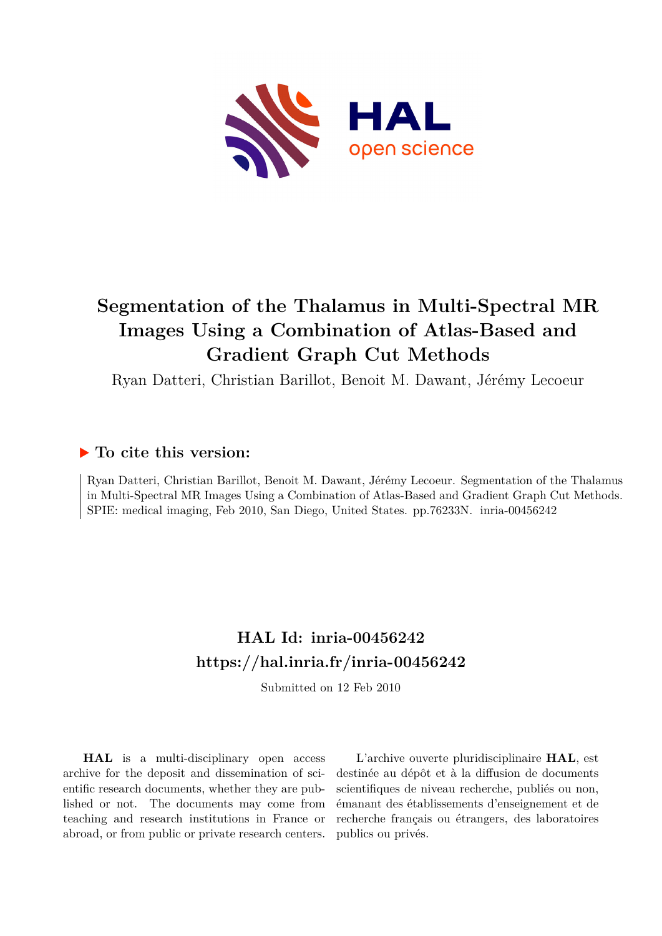

# **Segmentation of the Thalamus in Multi-Spectral MR Images Using a Combination of Atlas-Based and Gradient Graph Cut Methods**

Ryan Datteri, Christian Barillot, Benoit M. Dawant, Jérémy Lecoeur

# **To cite this version:**

Ryan Datteri, Christian Barillot, Benoit M. Dawant, Jérémy Lecoeur. Segmentation of the Thalamus in Multi-Spectral MR Images Using a Combination of Atlas-Based and Gradient Graph Cut Methods. SPIE: medical imaging, Feb 2010, San Diego, United States. pp.76233N. inria-00456242

# **HAL Id: inria-00456242 <https://hal.inria.fr/inria-00456242>**

Submitted on 12 Feb 2010

**HAL** is a multi-disciplinary open access archive for the deposit and dissemination of scientific research documents, whether they are published or not. The documents may come from teaching and research institutions in France or abroad, or from public or private research centers.

L'archive ouverte pluridisciplinaire **HAL**, est destinée au dépôt et à la diffusion de documents scientifiques de niveau recherche, publiés ou non, émanant des établissements d'enseignement et de recherche français ou étrangers, des laboratoires publics ou privés.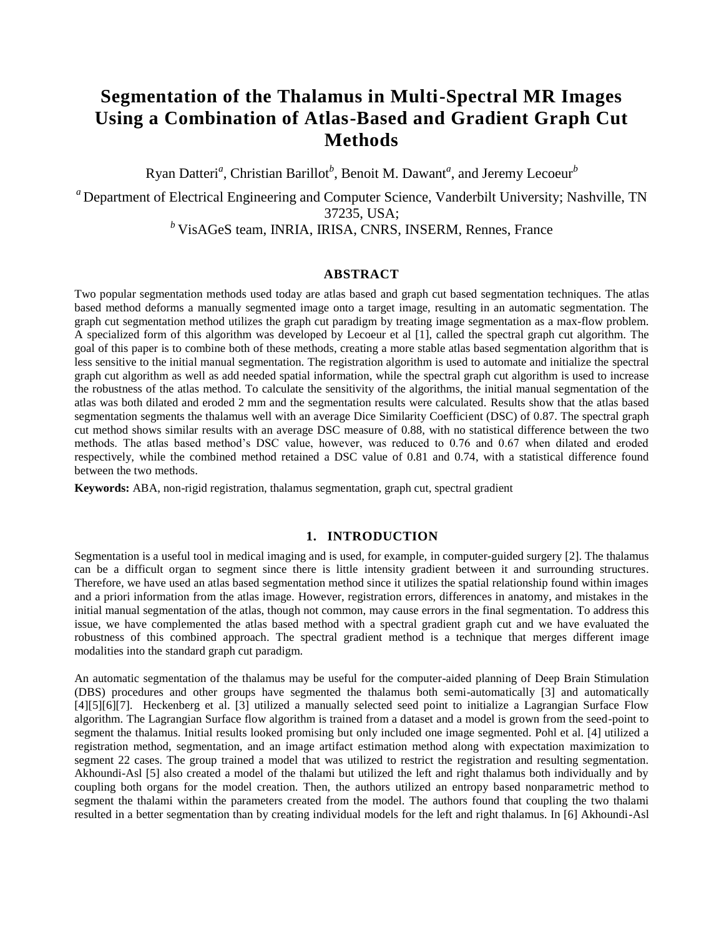# **Segmentation of the Thalamus in Multi-Spectral MR Images Using a Combination of Atlas-Based and Gradient Graph Cut Methods**

Ryan Datteri<sup>*a*</sup>, Christian Barillot<sup>*b*</sup>, Benoit M. Dawant<sup>*a*</sup>, and Jeremy Lecoeur<sup>*b*</sup>

*<sup>a</sup>* Department of Electrical Engineering and Computer Science, Vanderbilt University; Nashville, TN 37235, USA;

*<sup>b</sup>* VisAGeS team, INRIA, IRISA, CNRS, INSERM, Rennes, France

## **ABSTRACT**

Two popular segmentation methods used today are atlas based and graph cut based segmentation techniques. The atlas based method deforms a manually segmented image onto a target image, resulting in an automatic segmentation. The graph cut segmentation method utilizes the graph cut paradigm by treating image segmentation as a max-flow problem. A specialized form of this algorithm was developed by Lecoeur et al [1], called the spectral graph cut algorithm. The goal of this paper is to combine both of these methods, creating a more stable atlas based segmentation algorithm that is less sensitive to the initial manual segmentation. The registration algorithm is used to automate and initialize the spectral graph cut algorithm as well as add needed spatial information, while the spectral graph cut algorithm is used to increase the robustness of the atlas method. To calculate the sensitivity of the algorithms, the initial manual segmentation of the atlas was both dilated and eroded 2 mm and the segmentation results were calculated. Results show that the atlas based segmentation segments the thalamus well with an average Dice Similarity Coefficient (DSC) of 0.87. The spectral graph cut method shows similar results with an average DSC measure of 0.88, with no statistical difference between the two methods. The atlas based method's DSC value, however, was reduced to 0.76 and 0.67 when dilated and eroded respectively, while the combined method retained a DSC value of 0.81 and 0.74, with a statistical difference found between the two methods.

**Keywords:** ABA, non-rigid registration, thalamus segmentation, graph cut, spectral gradient

#### **1. INTRODUCTION**

Segmentation is a useful tool in medical imaging and is used, for example, in computer-guided surgery [2]. The thalamus can be a difficult organ to segment since there is little intensity gradient between it and surrounding structures. Therefore, we have used an atlas based segmentation method since it utilizes the spatial relationship found within images and a priori information from the atlas image. However, registration errors, differences in anatomy, and mistakes in the initial manual segmentation of the atlas, though not common, may cause errors in the final segmentation. To address this issue, we have complemented the atlas based method with a spectral gradient graph cut and we have evaluated the robustness of this combined approach. The spectral gradient method is a technique that merges different image modalities into the standard graph cut paradigm.

An automatic segmentation of the thalamus may be useful for the computer-aided planning of Deep Brain Stimulation (DBS) procedures and other groups have segmented the thalamus both semi-automatically [3] and automatically [4][5][6][7]. Heckenberg et al. [3] utilized a manually selected seed point to initialize a Lagrangian Surface Flow algorithm. The Lagrangian Surface flow algorithm is trained from a dataset and a model is grown from the seed-point to segment the thalamus. Initial results looked promising but only included one image segmented. Pohl et al. [4] utilized a registration method, segmentation, and an image artifact estimation method along with expectation maximization to segment 22 cases. The group trained a model that was utilized to restrict the registration and resulting segmentation. Akhoundi-Asl [5] also created a model of the thalami but utilized the left and right thalamus both individually and by coupling both organs for the model creation. Then, the authors utilized an entropy based nonparametric method to segment the thalami within the parameters created from the model. The authors found that coupling the two thalami resulted in a better segmentation than by creating individual models for the left and right thalamus. In [6] Akhoundi-Asl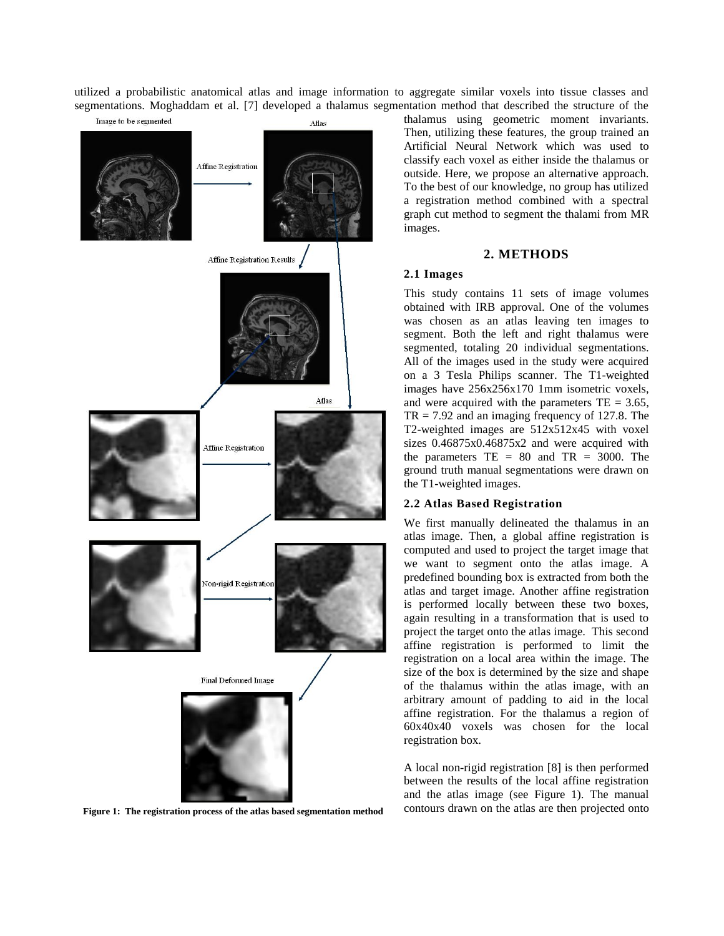utilized a probabilistic anatomical atlas and image information to aggregate similar voxels into tissue classes and segmentations. Moghaddam et al. [7] developed a thalamus segmentation method that described the structure of the



thalamus using geometric moment invariants. Then, utilizing these features, the group trained an Artificial Neural Network which was used to classify each voxel as either inside the thalamus or outside. Here, we propose an alternative approach. To the best of our knowledge, no group has utilized a registration method combined with a spectral graph cut method to segment the thalami from MR images.

### **2. METHODS**

#### **2.1 Images**

This study contains 11 sets of image volumes obtained with IRB approval. One of the volumes was chosen as an atlas leaving ten images to segment. Both the left and right thalamus were segmented, totaling 20 individual segmentations. All of the images used in the study were acquired on a 3 Tesla Philips scanner. The T1-weighted images have 256x256x170 1mm isometric voxels, and were acquired with the parameters  $TE = 3.65$ ,  $TR = 7.92$  and an imaging frequency of 127.8. The T2-weighted images are 512x512x45 with voxel sizes 0.46875x0.46875x2 and were acquired with the parameters  $TE = 80$  and  $TR = 3000$ . The ground truth manual segmentations were drawn on the T1-weighted images.

#### **2.2 Atlas Based Registration**

We first manually delineated the thalamus in an atlas image. Then, a global affine registration is computed and used to project the target image that we want to segment onto the atlas image. A predefined bounding box is extracted from both the atlas and target image. Another affine registration is performed locally between these two boxes, again resulting in a transformation that is used to project the target onto the atlas image. This second affine registration is performed to limit the registration on a local area within the image. The size of the box is determined by the size and shape of the thalamus within the atlas image, with an arbitrary amount of padding to aid in the local affine registration. For the thalamus a region of 60x40x40 voxels was chosen for the local registration box.

A local non-rigid registration [8] is then performed between the results of the local affine registration and the atlas image (see Figure 1). The manual **Figure 1: The registration process of the atlas based segmentation method** contours drawn on the atlas are then projected onto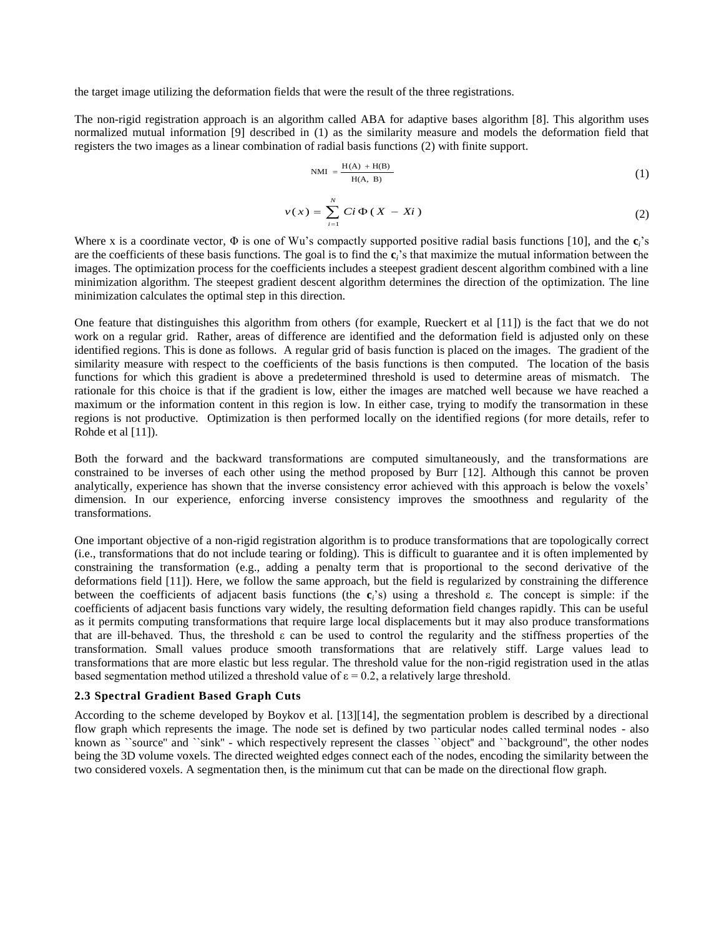the target image utilizing the deformation fields that were the result of the three registrations.

The non-rigid registration approach is an algorithm called ABA for adaptive bases algorithm [8]. This algorithm uses normalized mutual information [9] described in (1) as the similarity measure and models the deformation field that registers the two images as a linear combination of radial basis functions (2) with finite support.

$$
\text{NMI} = \frac{\text{H(A)} + \text{H(B)}}{\text{H(A, B)}}\tag{1}
$$

$$
v(x) = \sum_{i=1}^{N} Ci \Phi(X - Xi)
$$
 (2)

Where x is a coordinate vector,  $\Phi$  is one of Wu's compactly supported positive radial basis functions [10], and the  $\mathbf{c}_i$ 's are the coefficients of these basis functions. The goal is to find the **c***i*'s that maximize the mutual information between the images. The optimization process for the coefficients includes a steepest gradient descent algorithm combined with a line minimization algorithm. The steepest gradient descent algorithm determines the direction of the optimization. The line minimization calculates the optimal step in this direction.

One feature that distinguishes this algorithm from others (for example, Rueckert et al [11]) is the fact that we do not work on a regular grid. Rather, areas of difference are identified and the deformation field is adjusted only on these identified regions. This is done as follows. A regular grid of basis function is placed on the images. The gradient of the similarity measure with respect to the coefficients of the basis functions is then computed. The location of the basis functions for which this gradient is above a predetermined threshold is used to determine areas of mismatch. The rationale for this choice is that if the gradient is low, either the images are matched well because we have reached a maximum or the information content in this region is low. In either case, trying to modify the transormation in these regions is not productive. Optimization is then performed locally on the identified regions (for more details, refer to Rohde et al [11]).

Both the forward and the backward transformations are computed simultaneously, and the transformations are constrained to be inverses of each other using the method proposed by Burr [12]. Although this cannot be proven analytically, experience has shown that the inverse consistency error achieved with this approach is below the voxels' dimension. In our experience, enforcing inverse consistency improves the smoothness and regularity of the transformations.

One important objective of a non-rigid registration algorithm is to produce transformations that are topologically correct (i.e., transformations that do not include tearing or folding). This is difficult to guarantee and it is often implemented by constraining the transformation (e.g., adding a penalty term that is proportional to the second derivative of the deformations field [11]). Here, we follow the same approach, but the field is regularized by constraining the difference between the coefficients of adjacent basis functions (the **c***i*'s) using a threshold ε. The concept is simple: if the coefficients of adjacent basis functions vary widely, the resulting deformation field changes rapidly. This can be useful as it permits computing transformations that require large local displacements but it may also produce transformations that are ill-behaved. Thus, the threshold ε can be used to control the regularity and the stiffness properties of the transformation. Small values produce smooth transformations that are relatively stiff. Large values lead to transformations that are more elastic but less regular. The threshold value for the non-rigid registration used in the atlas based segmentation method utilized a threshold value of  $\varepsilon = 0.2$ , a relatively large threshold.

#### **2.3 Spectral Gradient Based Graph Cuts**

According to the scheme developed by Boykov et al. [13][14], the segmentation problem is described by a directional flow graph which represents the image. The node set is defined by two particular nodes called terminal nodes - also known as ``source" and ``sink" - which respectively represent the classes ``object" and ``background", the other nodes being the 3D volume voxels. The directed weighted edges connect each of the nodes, encoding the similarity between the two considered voxels. A segmentation then, is the minimum cut that can be made on the directional flow graph.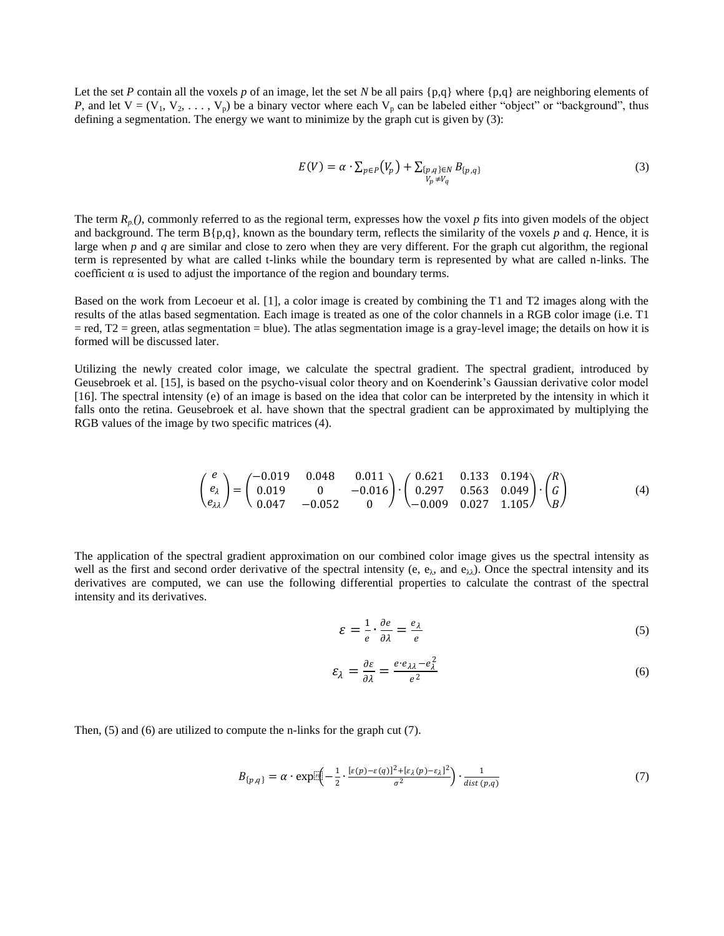Let the set *P* contain all the voxels *p* of an image, let the set *N* be all pairs  $\{p,q\}$  where  $\{p,q\}$  are neighboring elements of *P*, and let  $V = (V_1, V_2, \ldots, V_p)$  be a binary vector where each  $V_p$  can be labeled either "object" or "background", thus defining a segmentation. The energy we want to minimize by the graph cut is given by (3):

$$
E(V) = \alpha \cdot \sum_{p \in P} (V_p) + \sum_{\substack{\{p,q\} \in N \\ V_p \neq V_q}} B_{\{p,q\}} \tag{3}
$$

The term  $R_p(t)$ , commonly referred to as the regional term, expresses how the voxel p fits into given models of the object and background. The term  $B{p,q}$ , known as the boundary term, reflects the similarity of the voxels *p* and *q*. Hence, it is large when *p* and *q* are similar and close to zero when they are very different. For the graph cut algorithm, the regional term is represented by what are called t-links while the boundary term is represented by what are called n-links. The coefficient  $\alpha$  is used to adjust the importance of the region and boundary terms.

Based on the work from Lecoeur et al. [1], a color image is created by combining the T1 and T2 images along with the results of the atlas based segmentation. Each image is treated as one of the color channels in a RGB color image (i.e. T1  $=$  red,  $T2 =$  green, atlas segmentation  $=$  blue). The atlas segmentation image is a gray-level image; the details on how it is formed will be discussed later.

Utilizing the newly created color image, we calculate the spectral gradient. The spectral gradient, introduced by Geusebroek et al. [15], is based on the psycho-visual color theory and on Koenderink's Gaussian derivative color model [16]. The spectral intensity (e) of an image is based on the idea that color can be interpreted by the intensity in which it falls onto the retina. Geusebroek et al. have shown that the spectral gradient can be approximated by multiplying the RGB values of the image by two specific matrices (4).

$$
\begin{pmatrix} e \\ e_{\lambda} \\ e_{\lambda\lambda} \end{pmatrix} = \begin{pmatrix} -0.019 & 0.048 & 0.011 \\ 0.019 & 0 & -0.016 \\ 0.047 & -0.052 & 0 \end{pmatrix} \cdot \begin{pmatrix} 0.621 & 0.133 & 0.194 \\ 0.297 & 0.563 & 0.049 \\ -0.009 & 0.027 & 1.105 \end{pmatrix} \cdot \begin{pmatrix} R \\ G \\ B \end{pmatrix}
$$
 (4)

The application of the spectral gradient approximation on our combined color image gives us the spectral intensity as well as the first and second order derivative of the spectral intensity (e,  $e_{\lambda}$ , and  $e_{\lambda}$ ). Once the spectral intensity and its derivatives are computed, we can use the following differential properties to calculate the contrast of the spectral intensity and its derivatives.

$$
\varepsilon = \frac{1}{e} \cdot \frac{\partial e}{\partial \lambda} = \frac{e_{\lambda}}{e} \tag{5}
$$

$$
\varepsilon_{\lambda} = \frac{\partial \varepsilon}{\partial \lambda} = \frac{e \cdot e_{\lambda \lambda} - e_{\lambda}^2}{e^2} \tag{6}
$$

Then, (5) and (6) are utilized to compute the n-links for the graph cut (7).

$$
B_{\{p,q\}} = \alpha \cdot \exp\left[ \frac{\left[ \epsilon(p) - \epsilon(q) \right]^2 + \left[ \epsilon_\lambda(p) - \epsilon_\lambda \right]^2}{\sigma^2} \right) \cdot \frac{1}{\text{dist}(p,q)} \tag{7}
$$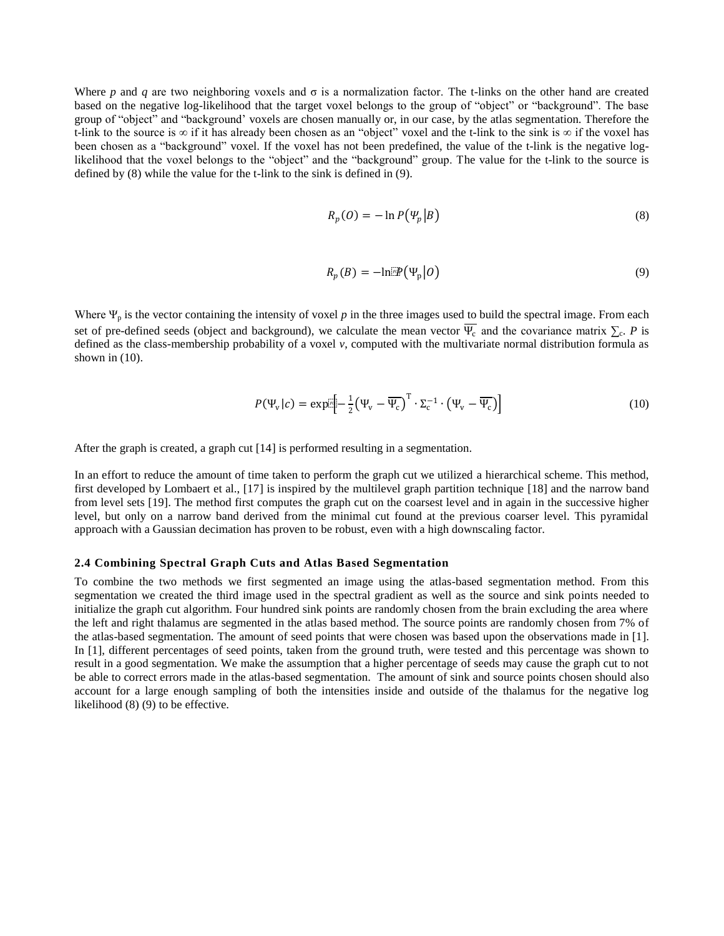Where *p* and *q* are two neighboring voxels and  $\sigma$  is a normalization factor. The t-links on the other hand are created based on the negative log-likelihood that the target voxel belongs to the group of "object" or "background". The base group of "object" and "background' voxels are chosen manually or, in our case, by the atlas segmentation. Therefore the t-link to the source is  $\infty$  if it has already been chosen as an "object" voxel and the t-link to the sink is  $\infty$  if the voxel has been chosen as a "background" voxel. If the voxel has not been predefined, the value of the t-link is the negative loglikelihood that the voxel belongs to the "object" and the "background" group. The value for the t-link to the source is defined by (8) while the value for the t-link to the sink is defined in (9).

$$
R_p(0) = -\ln P(\Psi_p|B) \tag{8}
$$

$$
R_p(B) = -\ln[\mathbb{P}(\Psi_p|O)] \tag{9}
$$

Where  $\Psi_p$  is the vector containing the intensity of voxel  $p$  in the three images used to build the spectral image. From each set of pre-defined seeds (object and background), we calculate the mean vector  $\Psi_c$  and the covariance matrix  $\Sigma_c$ . P is defined as the class-membership probability of a voxel *v*, computed with the multivariate normal distribution formula as shown in (10).

$$
P(\Psi_{\mathbf{v}}|c) = \exp[\frac{1}{2}(\Psi_{\mathbf{v}} - \overline{\Psi_{\mathbf{c}}})^{\mathrm{T}} \cdot \Sigma_{\mathbf{c}}^{-1} \cdot (\Psi_{\mathbf{v}} - \overline{\Psi_{\mathbf{c}}})]
$$
(10)

After the graph is created, a graph cut [14] is performed resulting in a segmentation.

In an effort to reduce the amount of time taken to perform the graph cut we utilized a hierarchical scheme. This method, first developed by Lombaert et al., [17] is inspired by the multilevel graph partition technique [18] and the narrow band from level sets [19]. The method first computes the graph cut on the coarsest level and in again in the successive higher level, but only on a narrow band derived from the minimal cut found at the previous coarser level. This pyramidal approach with a Gaussian decimation has proven to be robust, even with a high downscaling factor.

#### **2.4 Combining Spectral Graph Cuts and Atlas Based Segmentation**

To combine the two methods we first segmented an image using the atlas-based segmentation method. From this segmentation we created the third image used in the spectral gradient as well as the source and sink points needed to initialize the graph cut algorithm. Four hundred sink points are randomly chosen from the brain excluding the area where the left and right thalamus are segmented in the atlas based method. The source points are randomly chosen from 7% of the atlas-based segmentation. The amount of seed points that were chosen was based upon the observations made in [1]. In [1], different percentages of seed points, taken from the ground truth, were tested and this percentage was shown to result in a good segmentation. We make the assumption that a higher percentage of seeds may cause the graph cut to not be able to correct errors made in the atlas-based segmentation. The amount of sink and source points chosen should also account for a large enough sampling of both the intensities inside and outside of the thalamus for the negative log likelihood (8) (9) to be effective.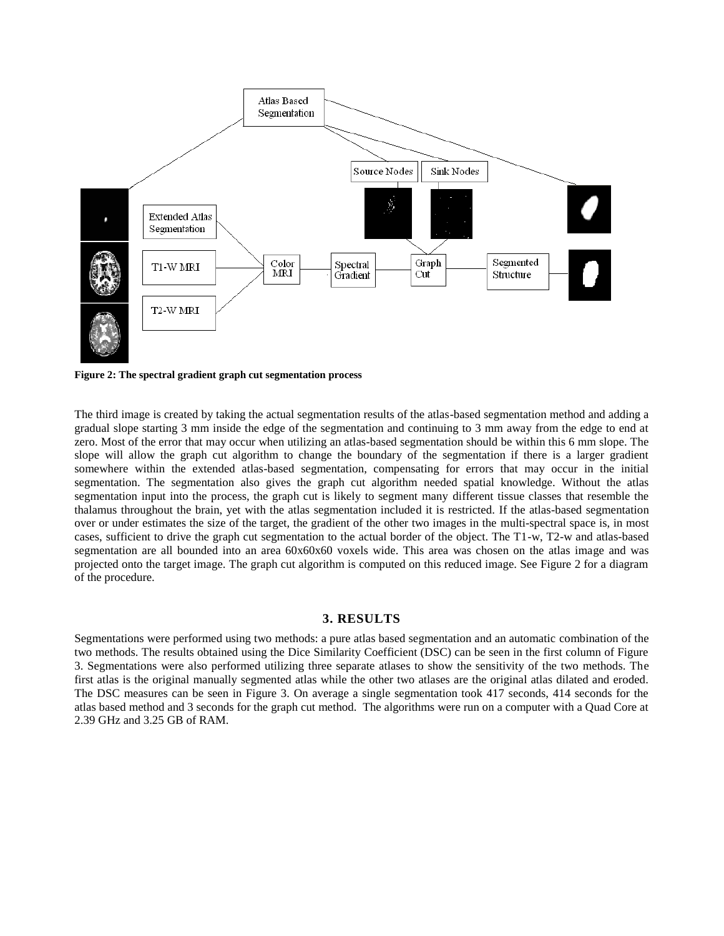

**Figure 2: The spectral gradient graph cut segmentation process**

The third image is created by taking the actual segmentation results of the atlas-based segmentation method and adding a gradual slope starting 3 mm inside the edge of the segmentation and continuing to 3 mm away from the edge to end at zero. Most of the error that may occur when utilizing an atlas-based segmentation should be within this 6 mm slope. The slope will allow the graph cut algorithm to change the boundary of the segmentation if there is a larger gradient somewhere within the extended atlas-based segmentation, compensating for errors that may occur in the initial segmentation. The segmentation also gives the graph cut algorithm needed spatial knowledge. Without the atlas segmentation input into the process, the graph cut is likely to segment many different tissue classes that resemble the thalamus throughout the brain, yet with the atlas segmentation included it is restricted. If the atlas-based segmentation over or under estimates the size of the target, the gradient of the other two images in the multi-spectral space is, in most cases, sufficient to drive the graph cut segmentation to the actual border of the object. The T1-w, T2-w and atlas-based segmentation are all bounded into an area 60x60x60 voxels wide. This area was chosen on the atlas image and was projected onto the target image. The graph cut algorithm is computed on this reduced image. See Figure 2 for a diagram of the procedure.

## **3. RESULTS**

Segmentations were performed using two methods: a pure atlas based segmentation and an automatic combination of the two methods. The results obtained using the Dice Similarity Coefficient (DSC) can be seen in the first column of Figure 3. Segmentations were also performed utilizing three separate atlases to show the sensitivity of the two methods. The first atlas is the original manually segmented atlas while the other two atlases are the original atlas dilated and eroded. The DSC measures can be seen in Figure 3. On average a single segmentation took 417 seconds, 414 seconds for the atlas based method and 3 seconds for the graph cut method. The algorithms were run on a computer with a Quad Core at 2.39 GHz and 3.25 GB of RAM.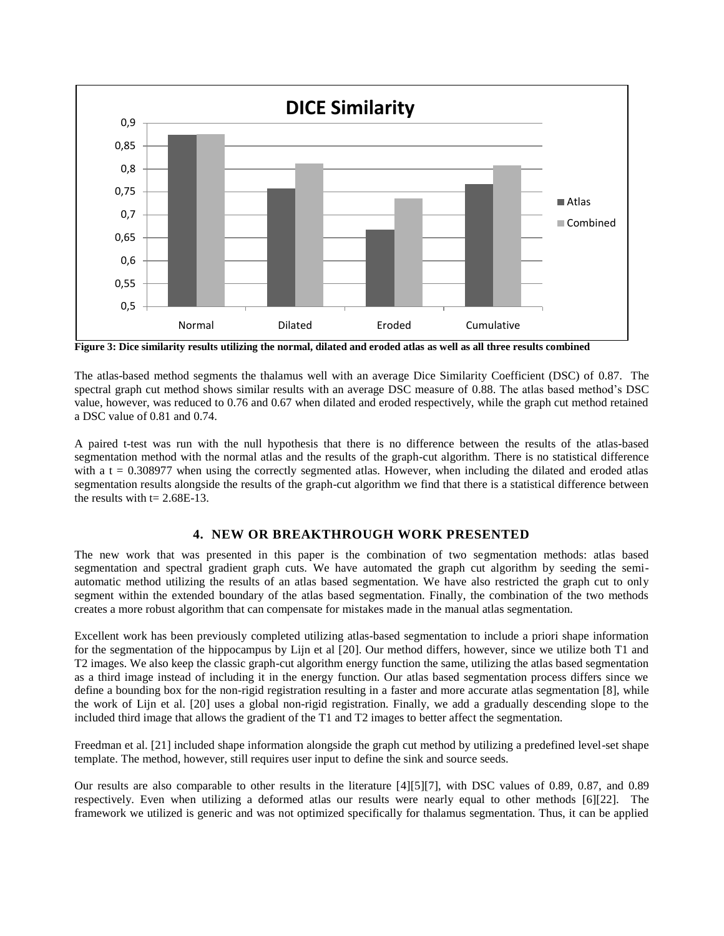

**Figure 3: Dice similarity results utilizing the normal, dilated and eroded atlas as well as all three results combined**

The atlas-based method segments the thalamus well with an average Dice Similarity Coefficient (DSC) of 0.87. The spectral graph cut method shows similar results with an average DSC measure of 0.88. The atlas based method's DSC value, however, was reduced to 0.76 and 0.67 when dilated and eroded respectively, while the graph cut method retained a DSC value of 0.81 and 0.74.

A paired t-test was run with the null hypothesis that there is no difference between the results of the atlas-based segmentation method with the normal atlas and the results of the graph-cut algorithm. There is no statistical difference with a  $t = 0.308977$  when using the correctly segmented atlas. However, when including the dilated and eroded atlas segmentation results alongside the results of the graph-cut algorithm we find that there is a statistical difference between the results with  $t = 2.68E-13$ .

### **4. NEW OR BREAKTHROUGH WORK PRESENTED**

The new work that was presented in this paper is the combination of two segmentation methods: atlas based segmentation and spectral gradient graph cuts. We have automated the graph cut algorithm by seeding the semiautomatic method utilizing the results of an atlas based segmentation. We have also restricted the graph cut to only segment within the extended boundary of the atlas based segmentation. Finally, the combination of the two methods creates a more robust algorithm that can compensate for mistakes made in the manual atlas segmentation.

Excellent work has been previously completed utilizing atlas-based segmentation to include a priori shape information for the segmentation of the hippocampus by Lijn et al [20]. Our method differs, however, since we utilize both T1 and T2 images. We also keep the classic graph-cut algorithm energy function the same, utilizing the atlas based segmentation as a third image instead of including it in the energy function. Our atlas based segmentation process differs since we define a bounding box for the non-rigid registration resulting in a faster and more accurate atlas segmentation [8], while the work of Lijn et al. [20] uses a global non-rigid registration. Finally, we add a gradually descending slope to the included third image that allows the gradient of the T1 and T2 images to better affect the segmentation.

Freedman et al. [21] included shape information alongside the graph cut method by utilizing a predefined level-set shape template. The method, however, still requires user input to define the sink and source seeds.

Our results are also comparable to other results in the literature [4][5][7], with DSC values of 0.89, 0.87, and 0.89 respectively. Even when utilizing a deformed atlas our results were nearly equal to other methods [6][22]. The framework we utilized is generic and was not optimized specifically for thalamus segmentation. Thus, it can be applied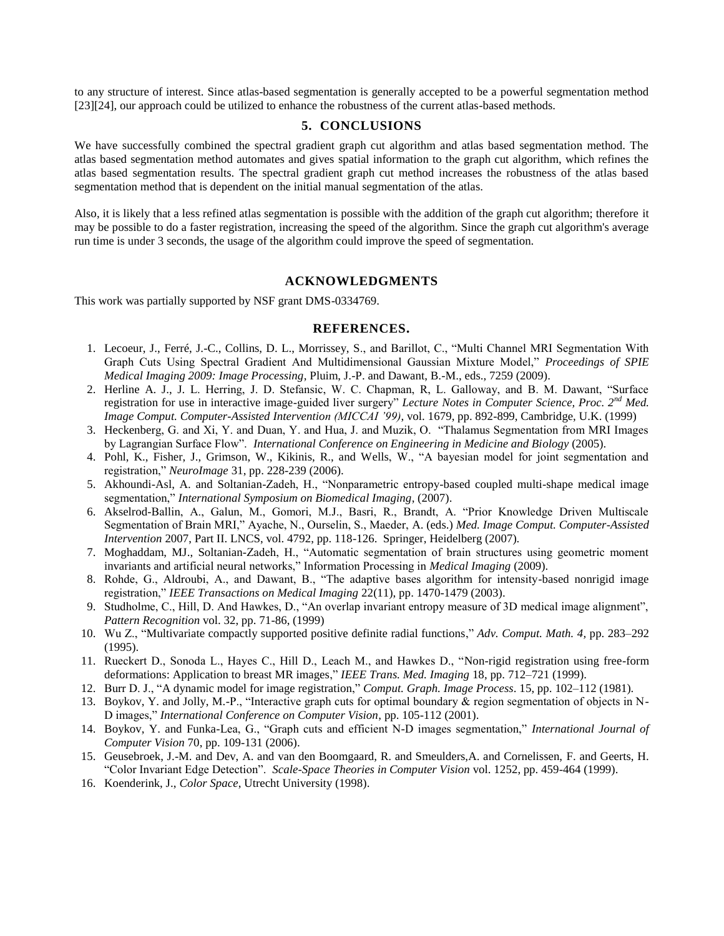to any structure of interest. Since atlas-based segmentation is generally accepted to be a powerful segmentation method [23][24], our approach could be utilized to enhance the robustness of the current atlas-based methods.

#### **5. CONCLUSIONS**

We have successfully combined the spectral gradient graph cut algorithm and atlas based segmentation method. The atlas based segmentation method automates and gives spatial information to the graph cut algorithm, which refines the atlas based segmentation results. The spectral gradient graph cut method increases the robustness of the atlas based segmentation method that is dependent on the initial manual segmentation of the atlas.

Also, it is likely that a less refined atlas segmentation is possible with the addition of the graph cut algorithm; therefore it may be possible to do a faster registration, increasing the speed of the algorithm. Since the graph cut algorithm's average run time is under 3 seconds, the usage of the algorithm could improve the speed of segmentation.

#### **ACKNOWLEDGMENTS**

This work was partially supported by NSF grant DMS-0334769.

#### **REFERENCES.**

- 1. Lecoeur, J., Ferré, J.-C., Collins, D. L., Morrissey, S., and Barillot, C., "Multi Channel MRI Segmentation With Graph Cuts Using Spectral Gradient And Multidimensional Gaussian Mixture Model," *Proceedings of SPIE Medical Imaging 2009: Image Processing*, Pluim, J.-P. and Dawant, B.-M., eds., 7259 (2009).
- 2. Herline A. J., J. L. Herring, J. D. Stefansic, W. C. Chapman, R, L. Galloway, and B. M. Dawant, "Surface registration for use in interactive image-guided liver surgery" *Lecture Notes in Computer Science, Proc. 2nd Med. Image Comput. Computer-Assisted Intervention (MICCAI '99)*, vol. 1679, pp. 892-899, Cambridge, U.K. (1999)
- 3. Heckenberg, G. and Xi, Y. and Duan, Y. and Hua, J. and Muzik, O. "Thalamus Segmentation from MRI Images by Lagrangian Surface Flow". *International Conference on Engineering in Medicine and Biology* (2005).
- 4. Pohl, K., Fisher, J., Grimson, W., Kikinis, R., and Wells, W., "A bayesian model for joint segmentation and registration," *NeuroImage* 31, pp. 228-239 (2006).
- 5. Akhoundi-Asl, A. and Soltanian-Zadeh, H., "Nonparametric entropy-based coupled multi-shape medical image segmentation," *International Symposium on Biomedical Imaging*, (2007).
- 6. Akselrod-Ballin, A., Galun, M., Gomori, M.J., Basri, R., Brandt, A. "Prior Knowledge Driven Multiscale Segmentation of Brain MRI," Ayache, N., Ourselin, S., Maeder, A. (eds.) *Med. Image Comput. Computer-Assisted Intervention* 2007, Part II. LNCS, vol. 4792, pp. 118-126. Springer, Heidelberg (2007).
- 7. Moghaddam, MJ., Soltanian-Zadeh, H., "Automatic segmentation of brain structures using geometric moment invariants and artificial neural networks," Information Processing in *Medical Imaging* (2009).
- 8. Rohde, G., Aldroubi, A., and Dawant, B., "The adaptive bases algorithm for intensity-based nonrigid image registration," *IEEE Transactions on Medical Imaging* 22(11), pp. 1470-1479 (2003).
- 9. Studholme, C., Hill, D. And Hawkes, D., "An overlap invariant entropy measure of 3D medical image alignment", *Pattern Recognition* vol. 32, pp. 71-86, (1999)
- 10. Wu Z., "Multivariate compactly supported positive definite radial functions," *Adv. Comput. Math. 4,* pp. 283–292 (1995).
- 11. Rueckert D., Sonoda L., Hayes C., Hill D., Leach M., and Hawkes D., "Non-rigid registration using free-form deformations: Application to breast MR images," *IEEE Trans. Med. Imaging* 18, pp. 712–721 (1999).
- 12. Burr D. J., "A dynamic model for image registration," *Comput. Graph. Image Process*. 15, pp. 102–112 (1981).
- 13. Boykov, Y. and Jolly, M.-P., "Interactive graph cuts for optimal boundary & region segmentation of objects in N-D images," *International Conference on Computer Vision*, pp. 105-112 (2001).
- 14. Boykov, Y. and Funka-Lea, G., "Graph cuts and efficient N-D images segmentation," *International Journal of Computer Vision* 70, pp. 109-131 (2006).
- 15. Geusebroek, J.-M. and Dev, A. and van den Boomgaard, R. and Smeulders,A. and Cornelissen, F. and Geerts, H. "Color Invariant Edge Detection". *Scale-Space Theories in Computer Vision* vol. 1252, pp. 459-464 (1999).
- 16. Koenderink, J., *Color Space*, Utrecht University (1998).